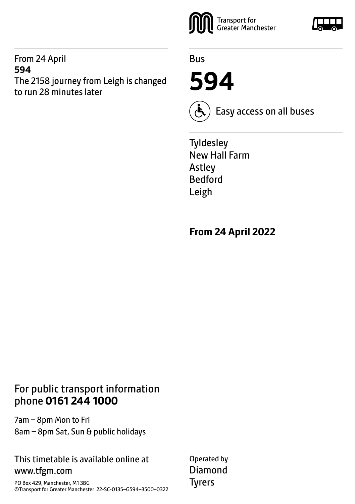## From 24 April **594** The 2158 journey from Leigh is changed to run 28 minutes later



Bus

**594**



Easy access on all buses

**Tyldesley** New Hall Farm Astley Bedford Leigh

**From 24 April 2022**

## For public transport information phone **0161 244 1000**

7am – 8pm Mon to Fri 8am – 8pm Sat, Sun & public holidays

## This timetable is available online at www.tfgm.com

PO Box 429, Manchester, M1 3BG ©Transport for Greater Manchester 22-SC-0135–G594–3500–0322 Operated by Diamond Tyrers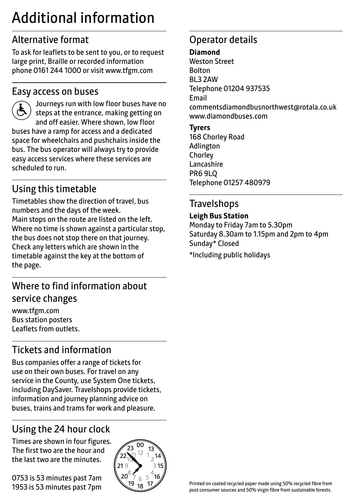# Additional information

## Alternative format

To ask for leaflets to be sent to you, or to request large print, Braille or recorded information phone 0161 244 1000 or visit www.tfgm.com

## Easy access on buses



 Journeys run with low floor buses have no steps at the entrance, making getting on and off easier. Where shown, low floor buses have a ramp for access and a dedicated space for wheelchairs and pushchairs inside the bus. The bus operator will always try to provide easy access services where these services are scheduled to run.

# Using this timetable

Timetables show the direction of travel, bus numbers and the days of the week. Main stops on the route are listed on the left. Where no time is shown against a particular stop, the bus does not stop there on that journey. Check any letters which are shown in the timetable against the key at the bottom of the page.

## Where to find information about service changes

www.tfgm.com Bus station posters Leaflets from outlets.

# Tickets and information

Bus companies offer a range of tickets for use on their own buses. For travel on any service in the County, use System One tickets, including DaySaver. Travelshops provide tickets, information and journey planning advice on buses, trains and trams for work and pleasure.

# Using the 24 hour clock

Times are shown in four figures. The first two are the hour and the last two are the minutes.

0753 is 53 minutes past 7am 1953 is 53 minutes past 7pm



## Operator details

#### **Diamond**

Weston Street Bolton BL3 2AW Telephone 01204 937535 Email commentsdiamondbusnorthwest@rotala.co.uk www.diamondbuses.com

**Tyrers** 168 Chorley Road Adlington **Chorley** Lancashire PR6 9LQ Telephone 01257 480979

## **Travelshops**

### **Leigh Bus Station**

Monday to Friday 7am to 5.30pm Saturday 8.30am to 1.15pm and 2pm to 4pm Sunday\* Closed \*Including public holidays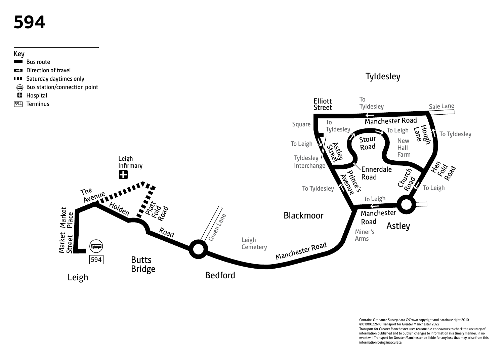# **594**

## Key

- Bus route
- Direction of travel
- **BEE** Saturday daytimes only
- Bus station/connection point
- **Hospital**
- 594 Terminus



Contains Ordnance Survey data ©Crown copyright and database right 2010 ©0100022610 Transport for Greater Manchester 2022 Transport for Greater Manchester uses reasonable endeavours to check the accuracy of information published and to publish changes to information in a timely manner. In no event will Transport for Greater Manchester be liable for any loss that may arise from this information being inaccurate.

**Tyldesley**